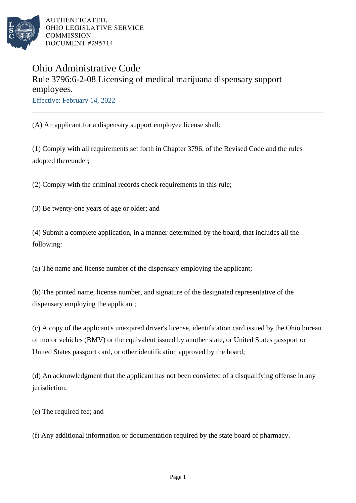

AUTHENTICATED. OHIO LEGISLATIVE SERVICE **COMMISSION** DOCUMENT #295714

## Ohio Administrative Code Rule 3796:6-2-08 Licensing of medical marijuana dispensary support employees. Effective: February 14, 2022

(A) An applicant for a dispensary support employee license shall:

(1) Comply with all requirements set forth in Chapter 3796. of the Revised Code and the rules adopted thereunder;

(2) Comply with the criminal records check requirements in this rule;

(3) Be twenty-one years of age or older; and

(4) Submit a complete application, in a manner determined by the board, that includes all the following:

(a) The name and license number of the dispensary employing the applicant;

(b) The printed name, license number, and signature of the designated representative of the dispensary employing the applicant;

(c) A copy of the applicant's unexpired driver's license, identification card issued by the Ohio bureau of motor vehicles (BMV) or the equivalent issued by another state, or United States passport or United States passport card, or other identification approved by the board;

(d) An acknowledgment that the applicant has not been convicted of a disqualifying offense in any jurisdiction;

(e) The required fee; and

(f) Any additional information or documentation required by the state board of pharmacy.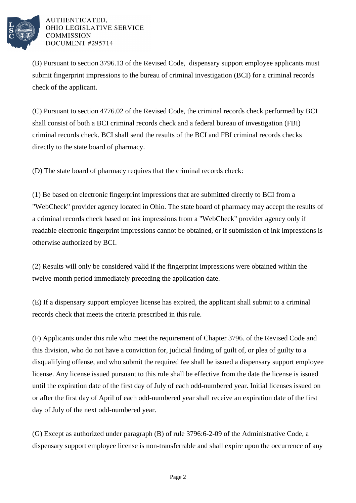

## AUTHENTICATED. OHIO LEGISLATIVE SERVICE **COMMISSION** DOCUMENT #295714

(B) Pursuant to section 3796.13 of the Revised Code, dispensary support employee applicants must submit fingerprint impressions to the bureau of criminal investigation (BCI) for a criminal records check of the applicant.

(C) Pursuant to section 4776.02 of the Revised Code, the criminal records check performed by BCI shall consist of both a BCI criminal records check and a federal bureau of investigation (FBI) criminal records check. BCI shall send the results of the BCI and FBI criminal records checks directly to the state board of pharmacy.

(D) The state board of pharmacy requires that the criminal records check:

(1) Be based on electronic fingerprint impressions that are submitted directly to BCI from a "WebCheck" provider agency located in Ohio. The state board of pharmacy may accept the results of a criminal records check based on ink impressions from a "WebCheck" provider agency only if readable electronic fingerprint impressions cannot be obtained, or if submission of ink impressions is otherwise authorized by BCI.

(2) Results will only be considered valid if the fingerprint impressions were obtained within the twelve-month period immediately preceding the application date.

(E) If a dispensary support employee license has expired, the applicant shall submit to a criminal records check that meets the criteria prescribed in this rule.

(F) Applicants under this rule who meet the requirement of Chapter 3796. of the Revised Code and this division, who do not have a conviction for, judicial finding of guilt of, or plea of guilty to a disqualifying offense, and who submit the required fee shall be issued a dispensary support employee license. Any license issued pursuant to this rule shall be effective from the date the license is issued until the expiration date of the first day of July of each odd-numbered year. Initial licenses issued on or after the first day of April of each odd-numbered year shall receive an expiration date of the first day of July of the next odd-numbered year.

(G) Except as authorized under paragraph (B) of rule 3796:6-2-09 of the Administrative Code, a dispensary support employee license is non-transferrable and shall expire upon the occurrence of any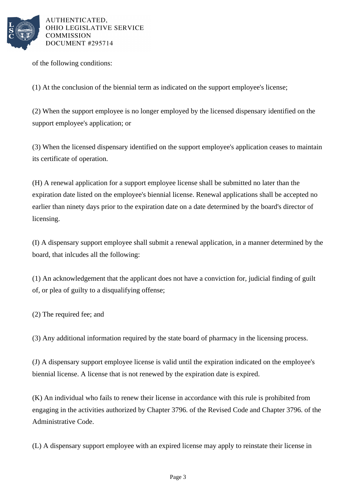

AUTHENTICATED, OHIO LEGISLATIVE SERVICE **COMMISSION** DOCUMENT #295714

of the following conditions:

(1) At the conclusion of the biennial term as indicated on the support employee's license;

(2) When the support employee is no longer employed by the licensed dispensary identified on the support employee's application; or

(3) When the licensed dispensary identified on the support employee's application ceases to maintain its certificate of operation.

(H) A renewal application for a support employee license shall be submitted no later than the expiration date listed on the employee's biennial license. Renewal applications shall be accepted no earlier than ninety days prior to the expiration date on a date determined by the board's director of licensing.

(I) A dispensary support employee shall submit a renewal application, in a manner determined by the board, that inlcudes all the following:

(1) An acknowledgement that the applicant does not have a conviction for, judicial finding of guilt of, or plea of guilty to a disqualifying offense;

(2) The required fee; and

(3) Any additional information required by the state board of pharmacy in the licensing process.

(J) A dispensary support employee license is valid until the expiration indicated on the employee's biennial license. A license that is not renewed by the expiration date is expired.

(K) An individual who fails to renew their license in accordance with this rule is prohibited from engaging in the activities authorized by Chapter 3796. of the Revised Code and Chapter 3796. of the Administrative Code.

(L) A dispensary support employee with an expired license may apply to reinstate their license in